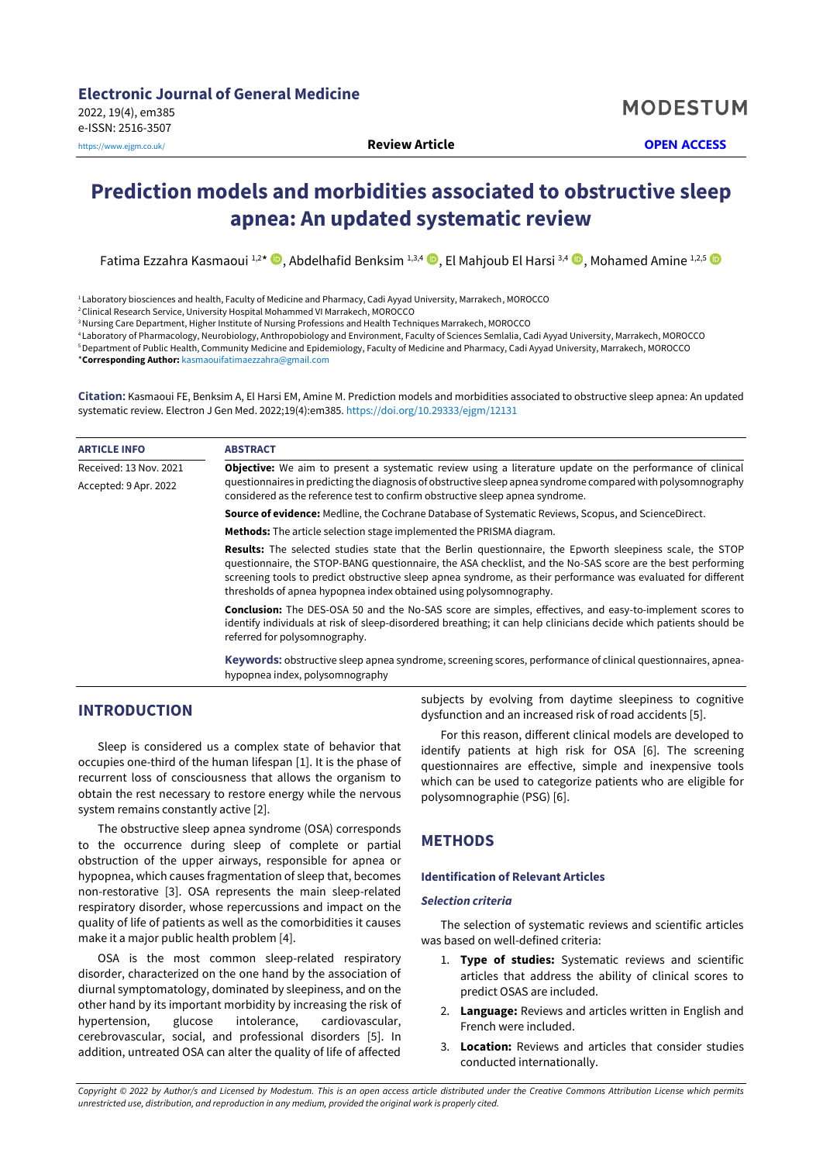# **Prediction models and morbidities associated to obstructive sleep apnea: An updated systematic review**

Fatima Ezzahra Kasmaoui 1[,](https://orcid.org/0000-0002-2470-3718)2\* D, Abdelhafid Benksim 1,3,4 D, El Mahjoub El Harsi 3,4 D, Mohamed Amine 1,2,5

<sup>1</sup> Laboratory biosciences and health, Faculty of Medicine and Pharmacy, Cadi Ayyad University, Marrakech, MOROCCO

<sup>2</sup>Clinical Research Service, University Hospital Mohammed VI Marrakech, MOROCCO

<sup>3</sup> Nursing Care Department, Higher Institute of Nursing Professions and Health Techniques Marrakech, MOROCCO

<sup>4</sup> Laboratory of Pharmacology, Neurobiology, Anthropobiology and Environment, Faculty of Sciences Semlalia, Cadi Ayyad University, Marrakech, MOROCCO

<sup>5</sup>Department of Public Health, Community Medicine and Epidemiology, Faculty of Medicine and Pharmacy, Cadi Ayyad University, Marrakech, MOROCCO

\***Corresponding Author:** [kasmaouifatimaezzahra@gmail.com](mailto:kasmaouifatimaezzahra@gmail.com)

**Citation:** Kasmaoui FE, Benksim A, El Harsi EM, Amine M. Prediction models and morbidities associated to obstructive sleep apnea: An updated systematic review. Electron J Gen Med. 2022;19(4):em385. <https://doi.org/10.29333/ejgm/12131>

| <b>ARTICLE INFO</b>    | <b>ABSTRACT</b>                                                                                                                                                                                                                                                                                                                                                                                                        |
|------------------------|------------------------------------------------------------------------------------------------------------------------------------------------------------------------------------------------------------------------------------------------------------------------------------------------------------------------------------------------------------------------------------------------------------------------|
| Received: 13 Nov. 2021 | <b>Objective:</b> We aim to present a systematic review using a literature update on the performance of clinical                                                                                                                                                                                                                                                                                                       |
| Accepted: 9 Apr. 2022  | questionnaires in predicting the diagnosis of obstructive sleep apnea syndrome compared with polysomnography<br>considered as the reference test to confirm obstructive sleep apnea syndrome.                                                                                                                                                                                                                          |
|                        | <b>Source of evidence:</b> Medline, the Cochrane Database of Systematic Reviews, Scopus, and ScienceDirect.                                                                                                                                                                                                                                                                                                            |
|                        | <b>Methods:</b> The article selection stage implemented the PRISMA diagram.                                                                                                                                                                                                                                                                                                                                            |
|                        | <b>Results:</b> The selected studies state that the Berlin questionnaire, the Epworth sleepiness scale, the STOP<br>questionnaire, the STOP-BANG questionnaire, the ASA checklist, and the No-SAS score are the best performing<br>screening tools to predict obstructive sleep apnea syndrome, as their performance was evaluated for different<br>thresholds of apnea hypopnea index obtained using polysomnography. |
|                        | <b>Conclusion:</b> The DES-OSA 50 and the No-SAS score are simples, effectives, and easy-to-implement scores to<br>identify individuals at risk of sleep-disordered breathing; it can help clinicians decide which patients should be<br>referred for polysomnography.                                                                                                                                                 |
|                        | Keywords: obstructive sleep apnea syndrome, screening scores, performance of clinical questionnaires, apnea-                                                                                                                                                                                                                                                                                                           |

hypopnea index, polysomnography

# **INTRODUCTION**

Sleep is considered us a complex state of behavior that occupies one-third of the human lifespan [1]. It is the phase of recurrent loss of consciousness that allows the organism to obtain the rest necessary to restore energy while the nervous system remains constantly active [2].

The obstructive sleep apnea syndrome (OSA) corresponds to the occurrence during sleep of complete or partial obstruction of the upper airways, responsible for apnea or hypopnea, which causes fragmentation of sleep that, becomes non-restorative [3]. OSA represents the main sleep-related respiratory disorder, whose repercussions and impact on the quality of life of patients as well as the comorbidities it causes make it a major public health problem [4].

OSA is the most common sleep-related respiratory disorder, characterized on the one hand by the association of diurnal symptomatology, dominated by sleepiness, and on the other hand by its important morbidity by increasing the risk of hypertension, glucose intolerance, cardiovascular, cerebrovascular, social, and professional disorders [5]. In addition, untreated OSA can alter the quality of life of affected subjects by evolving from daytime sleepiness to cognitive dysfunction and an increased risk of road accidents [5].

For this reason, different clinical models are developed to identify patients at high risk for OSA [6]. The screening questionnaires are effective, simple and inexpensive tools which can be used to categorize patients who are eligible for polysomnographie (PSG) [6].

# **METHODS**

#### **Identification of Relevant Articles**

#### *Selection criteria*

The selection of systematic reviews and scientific articles was based on well-defined criteria:

- 1. **Type of studies:** Systematic reviews and scientific articles that address the ability of clinical scores to predict OSAS are included.
- 2. **Language:** Reviews and articles written in English and French were included.
- 3. **Location:** Reviews and articles that consider studies conducted internationally.

*Copyright © 2022 by Author/s and Licensed by Modestum. This is an open access article distributed under the Creative Commons Attribution License which permits unrestricted use, distribution, and reproduction in any medium, provided the original work is properly cited.*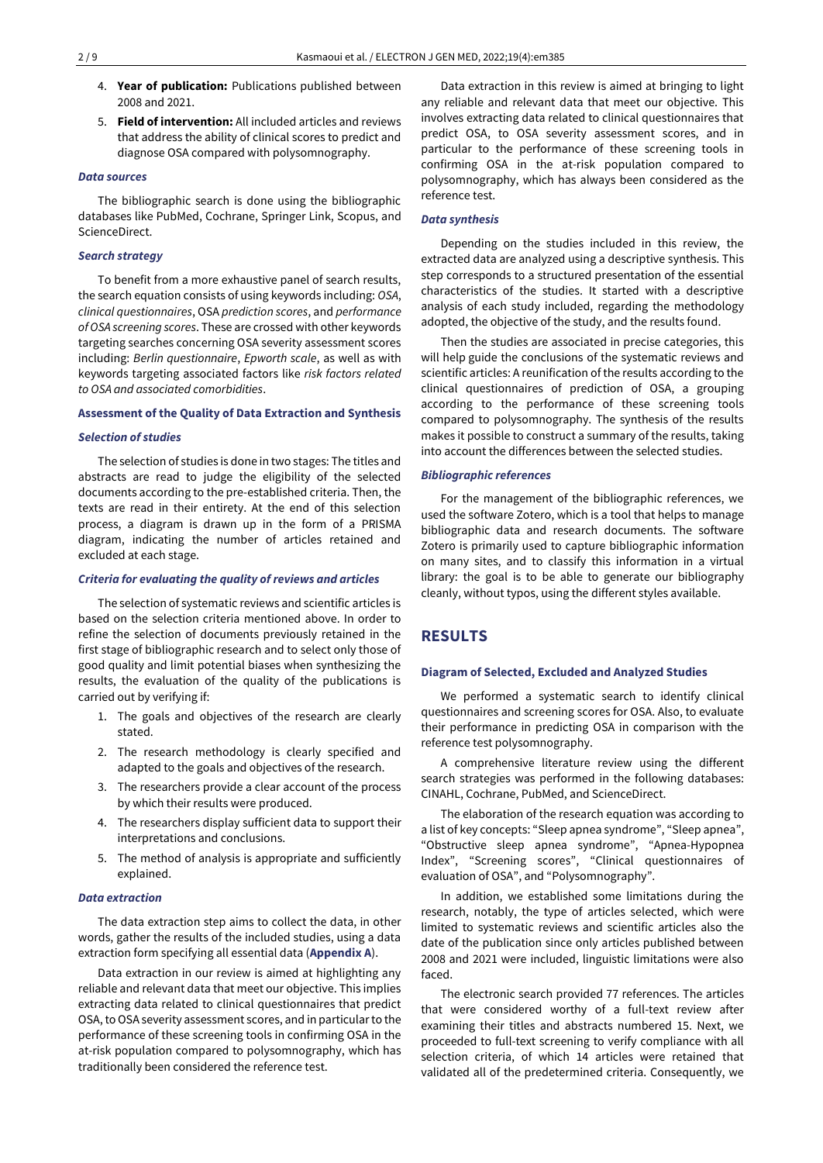- 4. **Year of publication:** Publications published between 2008 and 2021.
- 5. **Field of intervention:** All included articles and reviews that address the ability of clinical scores to predict and diagnose OSA compared with polysomnography.

#### *Data sources*

The bibliographic search is done using the bibliographic databases like PubMed, Cochrane, Springer Link, Scopus, and ScienceDirect.

## *Search strategy*

To benefit from a more exhaustive panel of search results, the search equation consists of using keywords including: *OSA*, *clinical questionnaires*, OSA *prediction scores*, and *performance of OSA screening scores*. These are crossed with other keywords targeting searches concerning OSA severity assessment scores including: *Berlin questionnaire*, *Epworth scale*, as well as with keywords targeting associated factors like *risk factors related to OSA and associated comorbidities*.

#### **Assessment of the Quality of Data Extraction and Synthesis**

#### *Selection of studies*

The selection of studies is done in two stages: The titles and abstracts are read to judge the eligibility of the selected documents according to the pre-established criteria. Then, the texts are read in their entirety. At the end of this selection process, a diagram is drawn up in the form of a PRISMA diagram, indicating the number of articles retained and excluded at each stage.

# *Criteria for evaluating the quality of reviews and articles*

The selection of systematic reviews and scientific articles is based on the selection criteria mentioned above. In order to refine the selection of documents previously retained in the first stage of bibliographic research and to select only those of good quality and limit potential biases when synthesizing the results, the evaluation of the quality of the publications is carried out by verifying if:

- 1. The goals and objectives of the research are clearly stated.
- 2. The research methodology is clearly specified and adapted to the goals and objectives of the research.
- 3. The researchers provide a clear account of the process by which their results were produced.
- 4. The researchers display sufficient data to support their interpretations and conclusions.
- 5. The method of analysis is appropriate and sufficiently explained.

#### *Data extraction*

The data extraction step aims to collect the data, in other words, gather the results of the included studies, using a data extraction form specifying all essential data (**Appendix A**).

Data extraction in our review is aimed at highlighting any reliable and relevant data that meet our objective. This implies extracting data related to clinical questionnaires that predict OSA, to OSA severity assessment scores, and in particular to the performance of these screening tools in confirming OSA in the at-risk population compared to polysomnography, which has traditionally been considered the reference test.

Data extraction in this review is aimed at bringing to light any reliable and relevant data that meet our objective. This involves extracting data related to clinical questionnaires that predict OSA, to OSA severity assessment scores, and in particular to the performance of these screening tools in confirming OSA in the at-risk population compared to polysomnography, which has always been considered as the reference test.

#### *Data synthesis*

Depending on the studies included in this review, the extracted data are analyzed using a descriptive synthesis. This step corresponds to a structured presentation of the essential characteristics of the studies. It started with a descriptive analysis of each study included, regarding the methodology adopted, the objective of the study, and the results found.

Then the studies are associated in precise categories, this will help guide the conclusions of the systematic reviews and scientific articles: A reunification of the results according to the clinical questionnaires of prediction of OSA, a grouping according to the performance of these screening tools compared to polysomnography. The synthesis of the results makes it possible to construct a summary of the results, taking into account the differences between the selected studies.

#### *Bibliographic references*

For the management of the bibliographic references, we used the software Zotero, which is a tool that helps to manage bibliographic data and research documents. The software Zotero is primarily used to capture bibliographic information on many sites, and to classify this information in a virtual library: the goal is to be able to generate our bibliography cleanly, without typos, using the different styles available.

# **RESULTS**

# **Diagram of Selected, Excluded and Analyzed Studies**

We performed a systematic search to identify clinical questionnaires and screening scores for OSA. Also, to evaluate their performance in predicting OSA in comparison with the reference test polysomnography.

A comprehensive literature review using the different search strategies was performed in the following databases: CINAHL, Cochrane, PubMed, and ScienceDirect.

The elaboration of the research equation was according to a list of key concepts: "Sleep apnea syndrome", "Sleep apnea", "Obstructive sleep apnea syndrome", "Apnea-Hypopnea Index", "Screening scores", "Clinical questionnaires of evaluation of OSA", and "Polysomnography".

In addition, we established some limitations during the research, notably, the type of articles selected, which were limited to systematic reviews and scientific articles also the date of the publication since only articles published between 2008 and 2021 were included, linguistic limitations were also faced.

The electronic search provided 77 references. The articles that were considered worthy of a full-text review after examining their titles and abstracts numbered 15. Next, we proceeded to full-text screening to verify compliance with all selection criteria, of which 14 articles were retained that validated all of the predetermined criteria. Consequently, we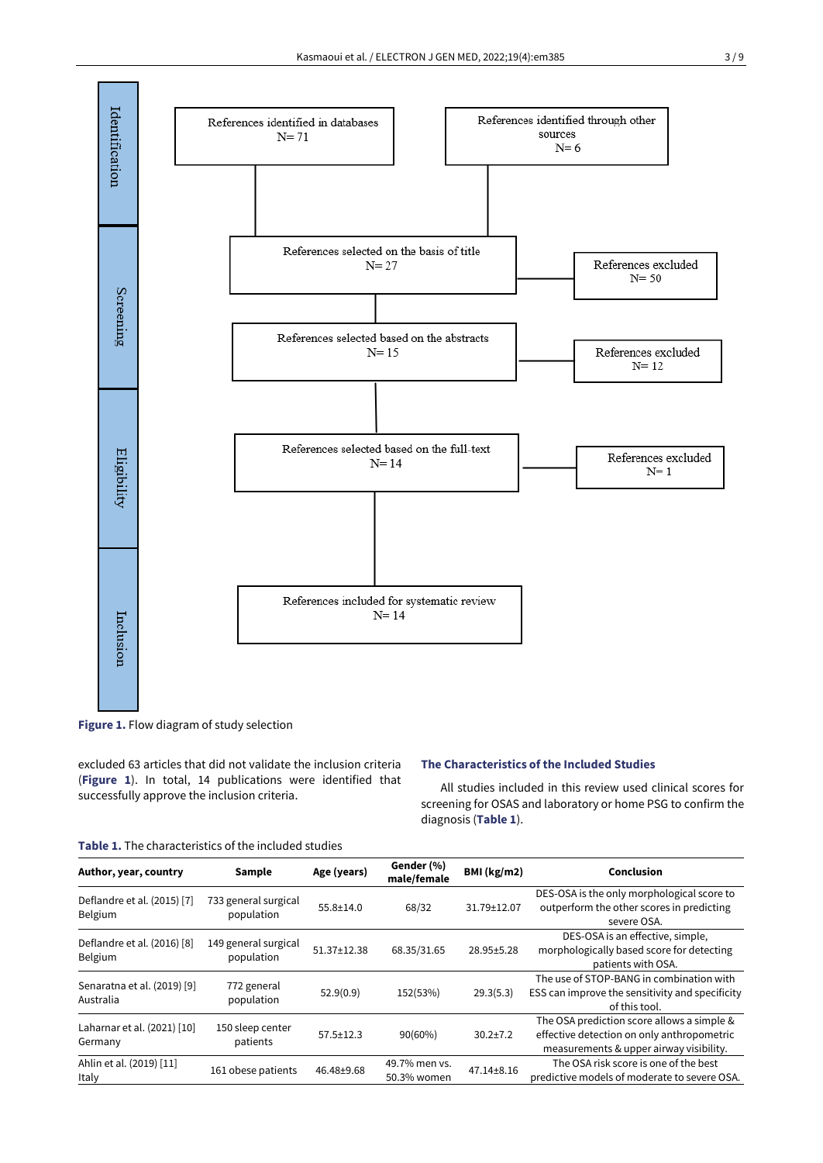

**Figure 1.** Flow diagram of study selection

excluded 63 articles that did not validate the inclusion criteria (**Figure 1**). In total, 14 publications were identified that successfully approve the inclusion criteria.

# **The Characteristics of the Included Studies**

All studies included in this review used clinical scores for screening for OSAS and laboratory or home PSG to confirm the diagnosis (**Table 1**).

| <b>Table 1.</b> The characteristics of the included studies |  |  |  |  |  |
|-------------------------------------------------------------|--|--|--|--|--|
|-------------------------------------------------------------|--|--|--|--|--|

| Author, year, country                    | Sample                             | Age (years)       | Gender (%)<br>male/female    | BM (kg/m2)       | Conclusion                                                                                                                          |
|------------------------------------------|------------------------------------|-------------------|------------------------------|------------------|-------------------------------------------------------------------------------------------------------------------------------------|
| Deflandre et al. (2015) [7]<br>Belgium   | 733 general surgical<br>population | $55.8 \pm 14.0$   | 68/32                        | 31.79±12.07      | DES-OSA is the only morphological score to<br>outperform the other scores in predicting<br>severe OSA.                              |
| Deflandre et al. (2016) [8]<br>Belgium   | 149 general surgical<br>population | $51.37 \pm 12.38$ | 68.35/31.65                  | 28.95±5.28       | DES-OSA is an effective, simple,<br>morphologically based score for detecting<br>patients with OSA.                                 |
| Senaratna et al. (2019) [9]<br>Australia | 772 general<br>population          | 52.9(0.9)         | 152(53%)                     | 29.3(5.3)        | The use of STOP-BANG in combination with<br>ESS can improve the sensitivity and specificity<br>of this tool.                        |
| Laharnar et al. (2021) [10]<br>Germany   | 150 sleep center<br>patients       | $57.5 \pm 12.3$   | $90(60\%)$                   | $30.2 \pm 7.2$   | The OSA prediction score allows a simple &<br>effective detection on only anthropometric<br>measurements & upper airway visibility. |
| Ahlin et al. (2019) [11]<br>Italy        | 161 obese patients                 | 46.48±9.68        | 49.7% men vs.<br>50.3% women | $47.14 \pm 8.16$ | The OSA risk score is one of the best<br>predictive models of moderate to severe OSA.                                               |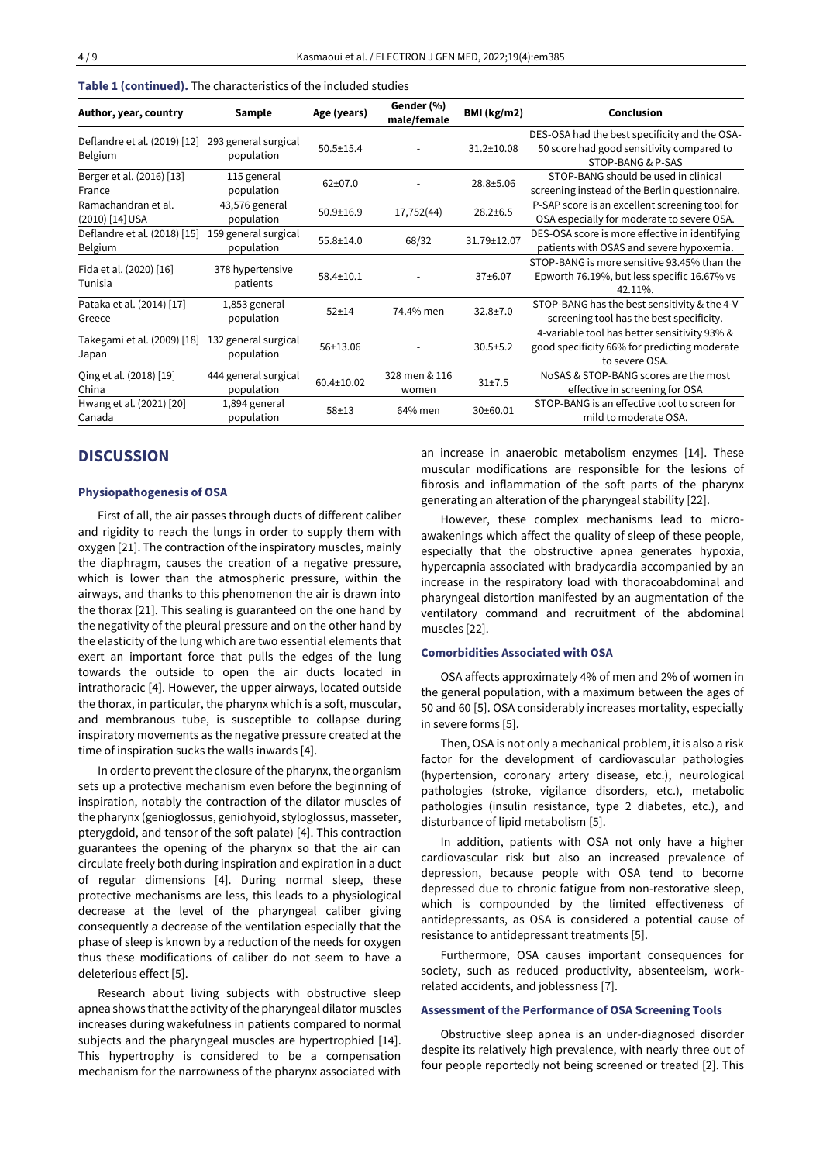| Author, year, country                   | Sample                             | Age (years)      | Gender (%)<br>male/female | BMl (kg/m2)      | Conclusion                                                                                                      |  |
|-----------------------------------------|------------------------------------|------------------|---------------------------|------------------|-----------------------------------------------------------------------------------------------------------------|--|
| Deflandre et al. (2019) [12]<br>Belgium | 293 general surgical<br>population | $50.5 \pm 15.4$  |                           | $31.2 \pm 10.08$ | DES-OSA had the best specificity and the OSA-<br>50 score had good sensitivity compared to<br>STOP-BANG & P-SAS |  |
| Berger et al. (2016) [13]<br>France     | 115 general<br>population          | $62+07.0$        |                           | 28.8±5.06        | STOP-BANG should be used in clinical<br>screening instead of the Berlin questionnaire.                          |  |
| Ramachandran et al.<br>(2010) [14] USA  | 43,576 general<br>population       | $50.9 \pm 16.9$  | 17,752(44)                | $28.2 \pm 6.5$   | P-SAP score is an excellent screening tool for<br>OSA especially for moderate to severe OSA.                    |  |
| Deflandre et al. (2018) [15]<br>Belgium | 159 general surgical<br>population | $55.8 \pm 14.0$  | 68/32                     | 31.79±12.07      | DES-OSA score is more effective in identifying<br>patients with OSAS and severe hypoxemia.                      |  |
| Fida et al. (2020) [16]<br>Tunisia      | 378 hypertensive<br>patients       | $58.4 \pm 10.1$  |                           | 37±6.07          | STOP-BANG is more sensitive 93.45% than the<br>Epworth 76.19%, but less specific 16.67% vs<br>42.11%            |  |
| Pataka et al. (2014) [17]<br>Greece     | 1,853 general<br>population        | $52 + 14$        | 74.4% men                 | $32.8 \pm 7.0$   | STOP-BANG has the best sensitivity & the 4-V<br>screening tool has the best specificity.                        |  |
| Takegami et al. (2009) [18]<br>Japan    | 132 general surgical<br>population | 56±13.06         |                           | $30.5 \pm 5.2$   | 4-variable tool has better sensitivity 93% &<br>good specificity 66% for predicting moderate<br>to severe OSA.  |  |
| Qing et al. (2018) [19]<br>China        | 444 general surgical<br>population | $60.4 \pm 10.02$ | 328 men & 116<br>women    | $31 + 7.5$       | NoSAS & STOP-BANG scores are the most<br>effective in screening for OSA                                         |  |
| Hwang et al. (2021) [20]<br>Canada      | 1,894 general<br>population        | $58 + 13$        | 64% men                   | 30±60.01         | STOP-BANG is an effective tool to screen for<br>mild to moderate OSA.                                           |  |

# **DISCUSSION**

#### **Physiopathogenesis of OSA**

First of all, the air passes through ducts of different caliber and rigidity to reach the lungs in order to supply them with oxygen [21]. The contraction of the inspiratory muscles, mainly the diaphragm, causes the creation of a negative pressure, which is lower than the atmospheric pressure, within the airways, and thanks to this phenomenon the air is drawn into the thorax [21]. This sealing is guaranteed on the one hand by the negativity of the pleural pressure and on the other hand by the elasticity of the lung which are two essential elements that exert an important force that pulls the edges of the lung towards the outside to open the air ducts located in intrathoracic [4]. However, the upper airways, located outside the thorax, in particular, the pharynx which is a soft, muscular, and membranous tube, is susceptible to collapse during inspiratory movements as the negative pressure created at the time of inspiration sucks the walls inwards [4].

In order to prevent the closure of the pharynx, the organism sets up a protective mechanism even before the beginning of inspiration, notably the contraction of the dilator muscles of the pharynx (genioglossus, geniohyoid, styloglossus, masseter, pterygdoid, and tensor of the soft palate) [4]. This contraction guarantees the opening of the pharynx so that the air can circulate freely both during inspiration and expiration in a duct of regular dimensions [4]. During normal sleep, these protective mechanisms are less, this leads to a physiological decrease at the level of the pharyngeal caliber giving consequently a decrease of the ventilation especially that the phase of sleep is known by a reduction of the needs for oxygen thus these modifications of caliber do not seem to have a deleterious effect [5].

Research about living subjects with obstructive sleep apnea shows that the activity of the pharyngeal dilator muscles increases during wakefulness in patients compared to normal subjects and the pharyngeal muscles are hypertrophied [14]. This hypertrophy is considered to be a compensation mechanism for the narrowness of the pharynx associated with an increase in anaerobic metabolism enzymes [14]. These muscular modifications are responsible for the lesions of fibrosis and inflammation of the soft parts of the pharynx generating an alteration of the pharyngeal stability [22].

However, these complex mechanisms lead to microawakenings which affect the quality of sleep of these people, especially that the obstructive apnea generates hypoxia, hypercapnia associated with bradycardia accompanied by an increase in the respiratory load with thoracoabdominal and pharyngeal distortion manifested by an augmentation of the ventilatory command and recruitment of the abdominal muscles [22].

#### **Comorbidities Associated with OSA**

OSA affects approximately 4% of men and 2% of women in the general population, with a maximum between the ages of 50 and 60 [5]. OSA considerably increases mortality, especially in severe forms [5].

Then, OSA is not only a mechanical problem, it is also a risk factor for the development of cardiovascular pathologies (hypertension, coronary artery disease, etc.), neurological pathologies (stroke, vigilance disorders, etc.), metabolic pathologies (insulin resistance, type 2 diabetes, etc.), and disturbance of lipid metabolism [5].

In addition, patients with OSA not only have a higher cardiovascular risk but also an increased prevalence of depression, because people with OSA tend to become depressed due to chronic fatigue from non-restorative sleep, which is compounded by the limited effectiveness of antidepressants, as OSA is considered a potential cause of resistance to antidepressant treatments [5].

Furthermore, OSA causes important consequences for society, such as reduced productivity, absenteeism, workrelated accidents, and joblessness [7].

#### **Assessment of the Performance of OSA Screening Tools**

Obstructive sleep apnea is an under-diagnosed disorder despite its relatively high prevalence, with nearly three out of four people reportedly not being screened or treated [2]. This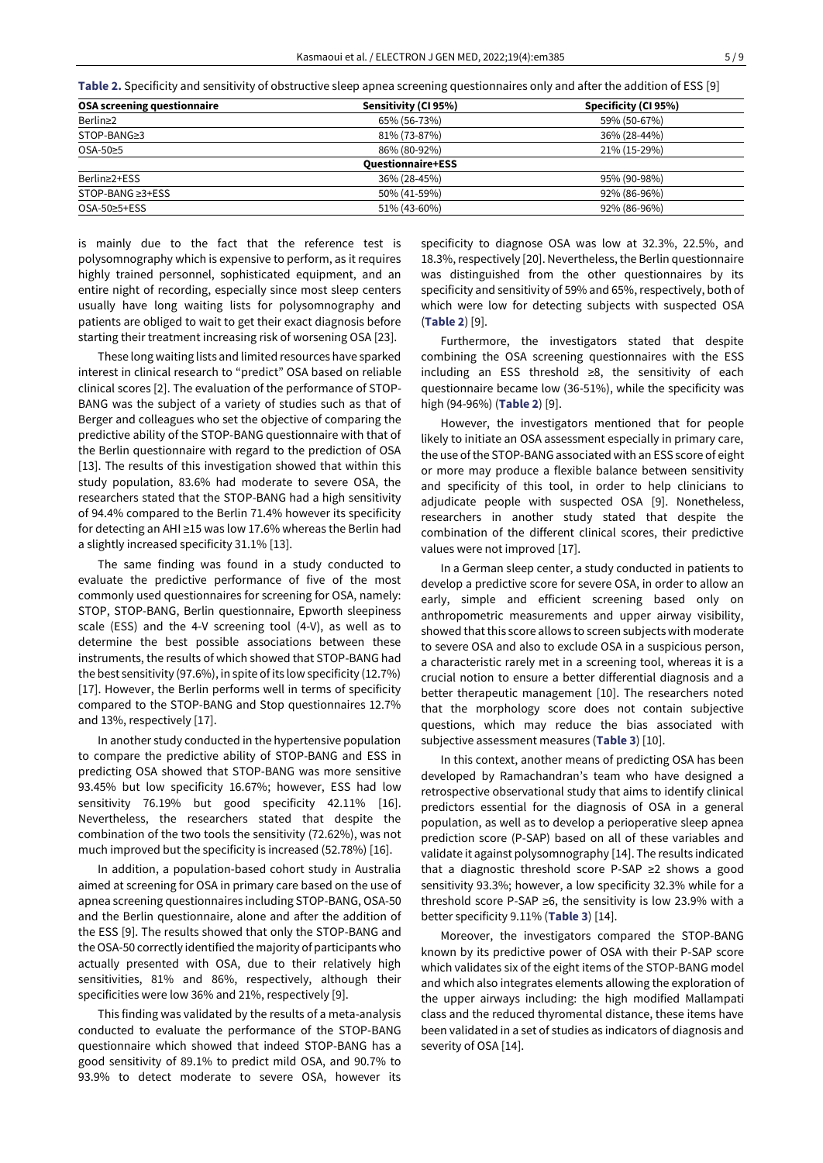|  | Table 2. Specificity and sensitivity of obstructive sleep apnea screening questionnaires only and after the addition of ESS [9] |  |  |  |  |
|--|---------------------------------------------------------------------------------------------------------------------------------|--|--|--|--|
|  |                                                                                                                                 |  |  |  |  |

| <b>OSA screening questionnaire</b> | Sensitivity (CI 95%)     | Specificity (CI 95%) |
|------------------------------------|--------------------------|----------------------|
| Berlin≥2                           | 65% (56-73%)             | 59% (50-67%)         |
| STOP-BANG≥3                        | 81% (73-87%)             | 36% (28-44%)         |
| OSA-50≥5                           | 86% (80-92%)             | 21% (15-29%)         |
|                                    | <b>Questionnaire+ESS</b> |                      |
| Berlin≥2+ESS                       | 36% (28-45%)             | 95% (90-98%)         |
| STOP-BANG ≥3+ESS                   | 50% (41-59%)             | 92% (86-96%)         |
| OSA-50≥5+ESS                       | 51% (43-60%)             | 92% (86-96%)         |

is mainly due to the fact that the reference test is polysomnography which is expensive to perform, as it requires highly trained personnel, sophisticated equipment, and an entire night of recording, especially since most sleep centers usually have long waiting lists for polysomnography and patients are obliged to wait to get their exact diagnosis before starting their treatment increasing risk of worsening OSA [23].

These long waiting lists and limited resources have sparked interest in clinical research to "predict" OSA based on reliable clinical scores [2]. The evaluation of the performance of STOP-BANG was the subject of a variety of studies such as that of Berger and colleagues who set the objective of comparing the predictive ability of the STOP-BANG questionnaire with that of the Berlin questionnaire with regard to the prediction of OSA [13]. The results of this investigation showed that within this study population, 83.6% had moderate to severe OSA, the researchers stated that the STOP-BANG had a high sensitivity of 94.4% compared to the Berlin 71.4% however its specificity for detecting an AHI ≥15 was low 17.6% whereas the Berlin had a slightly increased specificity 31.1% [13].

The same finding was found in a study conducted to evaluate the predictive performance of five of the most commonly used questionnaires for screening for OSA, namely: STOP, STOP-BANG, Berlin questionnaire, Epworth sleepiness scale (ESS) and the 4-V screening tool (4-V), as well as to determine the best possible associations between these instruments, the results of which showed that STOP-BANG had the best sensitivity (97.6%), in spite of its low specificity (12.7%) [17]. However, the Berlin performs well in terms of specificity compared to the STOP-BANG and Stop questionnaires 12.7% and 13%, respectively [17].

In another study conducted in the hypertensive population to compare the predictive ability of STOP-BANG and ESS in predicting OSA showed that STOP-BANG was more sensitive 93.45% but low specificity 16.67%; however, ESS had low sensitivity 76.19% but good specificity 42.11% [16]. Nevertheless, the researchers stated that despite the combination of the two tools the sensitivity (72.62%), was not much improved but the specificity is increased (52.78%) [16].

In addition, a population-based cohort study in Australia aimed at screening for OSA in primary care based on the use of apnea screening questionnaires including STOP-BANG, OSA-50 and the Berlin questionnaire, alone and after the addition of the ESS [9]. The results showed that only the STOP-BANG and the OSA-50 correctly identified the majority of participants who actually presented with OSA, due to their relatively high sensitivities, 81% and 86%, respectively, although their specificities were low 36% and 21%, respectively [9].

This finding was validated by the results of a meta-analysis conducted to evaluate the performance of the STOP-BANG questionnaire which showed that indeed STOP-BANG has a good sensitivity of 89.1% to predict mild OSA, and 90.7% to 93.9% to detect moderate to severe OSA, however its specificity to diagnose OSA was low at 32.3%, 22.5%, and 18.3%, respectively [20]. Nevertheless, the Berlin questionnaire was distinguished from the other questionnaires by its specificity and sensitivity of 59% and 65%, respectively, both of which were low for detecting subjects with suspected OSA (**Table 2**) [9].

Furthermore, the investigators stated that despite combining the OSA screening questionnaires with the ESS including an ESS threshold ≥8, the sensitivity of each questionnaire became low (36-51%), while the specificity was high (94-96%) (**Table 2**) [9].

However, the investigators mentioned that for people likely to initiate an OSA assessment especially in primary care, the use of the STOP-BANG associated with an ESS score of eight or more may produce a flexible balance between sensitivity and specificity of this tool, in order to help clinicians to adjudicate people with suspected OSA [9]. Nonetheless, researchers in another study stated that despite the combination of the different clinical scores, their predictive values were not improved [17].

In a German sleep center, a study conducted in patients to develop a predictive score for severe OSA, in order to allow an early, simple and efficient screening based only on anthropometric measurements and upper airway visibility, showed that this score allows to screen subjects with moderate to severe OSA and also to exclude OSA in a suspicious person, a characteristic rarely met in a screening tool, whereas it is a crucial notion to ensure a better differential diagnosis and a better therapeutic management [10]. The researchers noted that the morphology score does not contain subjective questions, which may reduce the bias associated with subjective assessment measures (**Table 3**) [10].

In this context, another means of predicting OSA has been developed by Ramachandran's team who have designed a retrospective observational study that aims to identify clinical predictors essential for the diagnosis of OSA in a general population, as well as to develop a perioperative sleep apnea prediction score (P-SAP) based on all of these variables and validate it against polysomnography [14]. The results indicated that a diagnostic threshold score P-SAP ≥2 shows a good sensitivity 93.3%; however, a low specificity 32.3% while for a threshold score P-SAP ≥6, the sensitivity is low 23.9% with a better specificity 9.11% (**Table 3**) [14].

Moreover, the investigators compared the STOP-BANG known by its predictive power of OSA with their P-SAP score which validates six of the eight items of the STOP-BANG model and which also integrates elements allowing the exploration of the upper airways including: the high modified Mallampati class and the reduced thyromental distance, these items have been validated in a set of studies as indicators of diagnosis and severity of OSA [14].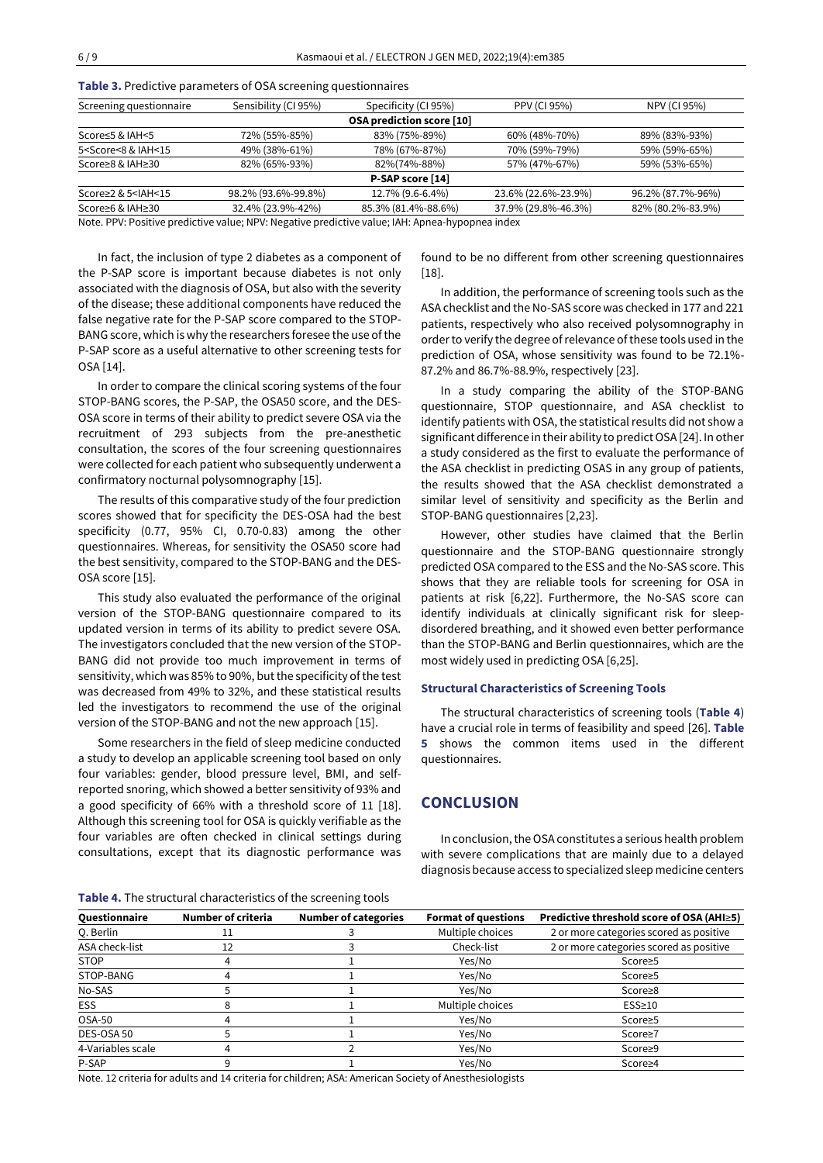| Screening questionnaire                                                                                                                          | Sensibility (CI 95%) | Specificity (CI 95%)      | PPV (CI 95%)<br>NPV (CI 95%) |                   |
|--------------------------------------------------------------------------------------------------------------------------------------------------|----------------------|---------------------------|------------------------------|-------------------|
|                                                                                                                                                  |                      | OSA prediction score [10] |                              |                   |
| Score≤5 & IAH<5                                                                                                                                  | 72% (55%-85%)        | 83% (75%-89%)             | 60% (48%-70%)                | 89% (83%-93%)     |
| 5 <score<8 &="" iah<15<="" td=""><td>49% (38%-61%)</td><td>78% (67%-87%)</td><td>70% (59%-79%)</td><td>59% (59%-65%)</td></score<8>              | 49% (38%-61%)        | 78% (67%-87%)             | 70% (59%-79%)                | 59% (59%-65%)     |
| Score $\geq$ 8 & IAH $\geq$ 30                                                                                                                   | 82% (65%-93%)        | 82%(74%-88%)              | 57% (47%-67%)                | 59% (53%-65%)     |
|                                                                                                                                                  |                      | P-SAP score [14]          |                              |                   |
| Score≥2 & 5 <iah<15< td=""><td>98.2% (93.6%-99.8%)</td><td>12.7% (9.6-6.4%)</td><td>23.6% (22.6%-23.9%)</td><td>96.2% (87.7%-96%)</td></iah<15<> | 98.2% (93.6%-99.8%)  | 12.7% (9.6-6.4%)          | 23.6% (22.6%-23.9%)          | 96.2% (87.7%-96%) |
| Score $\geq 6$ & IAH $\geq 30$                                                                                                                   | 32.4% (23.9%-42%)    | 85.3% (81.4%-88.6%)       | 37.9% (29.8%-46.3%)          | 82% (80.2%-83.9%) |

**Table 3.** Predictive parameters of OSA screening questionnaires

Note. PPV: Positive predictive value; NPV: Negative predictive value; IAH: Apnea-hypopnea index

In fact, the inclusion of type 2 diabetes as a component of the P-SAP score is important because diabetes is not only associated with the diagnosis of OSA, but also with the severity of the disease; these additional components have reduced the false negative rate for the P-SAP score compared to the STOP-BANG score, which is why the researchers foresee the use of the P-SAP score as a useful alternative to other screening tests for OSA [14].

In order to compare the clinical scoring systems of the four STOP-BANG scores, the P-SAP, the OSA50 score, and the DES-OSA score in terms of their ability to predict severe OSA via the recruitment of 293 subjects from the pre-anesthetic consultation, the scores of the four screening questionnaires were collected for each patient who subsequently underwent a confirmatory nocturnal polysomnography [15].

The results of this comparative study of the four prediction scores showed that for specificity the DES-OSA had the best specificity (0.77, 95% CI, 0.70-0.83) among the other questionnaires. Whereas, for sensitivity the OSA50 score had the best sensitivity, compared to the STOP-BANG and the DES-OSA score [15].

This study also evaluated the performance of the original version of the STOP-BANG questionnaire compared to its updated version in terms of its ability to predict severe OSA. The investigators concluded that the new version of the STOP-BANG did not provide too much improvement in terms of sensitivity, which was 85% to 90%, but the specificity of the test was decreased from 49% to 32%, and these statistical results led the investigators to recommend the use of the original version of the STOP-BANG and not the new approach [15].

Some researchers in the field of sleep medicine conducted a study to develop an applicable screening tool based on only four variables: gender, blood pressure level, BMI, and selfreported snoring, which showed a better sensitivity of 93% and a good specificity of 66% with a threshold score of 11 [18]. Although this screening tool for OSA is quickly verifiable as the four variables are often checked in clinical settings during consultations, except that its diagnostic performance was

found to be no different from other screening questionnaires [18].

In addition, the performance of screening tools such as the ASA checklist and the No-SAS score was checked in 177 and 221 patients, respectively who also received polysomnography in order to verify the degree of relevance of these tools used in the prediction of OSA, whose sensitivity was found to be 72.1%- 87.2% and 86.7%-88.9%, respectively [23].

In a study comparing the ability of the STOP-BANG questionnaire, STOP questionnaire, and ASA checklist to identify patients with OSA, the statistical results did not show a significant difference in their ability to predict OSA [24]. In other a study considered as the first to evaluate the performance of the ASA checklist in predicting OSAS in any group of patients, the results showed that the ASA checklist demonstrated a similar level of sensitivity and specificity as the Berlin and STOP-BANG questionnaires [2,23].

However, other studies have claimed that the Berlin questionnaire and the STOP-BANG questionnaire strongly predicted OSA compared to the ESS and the No-SAS score. This shows that they are reliable tools for screening for OSA in patients at risk [6,22]. Furthermore, the No-SAS score can identify individuals at clinically significant risk for sleepdisordered breathing, and it showed even better performance than the STOP-BANG and Berlin questionnaires, which are the most widely used in predicting OSA [6,25].

#### **Structural Characteristics of Screening Tools**

The structural characteristics of screening tools (**Table 4**) have a crucial role in terms of feasibility and speed [26]. **Table 5** shows the common items used in the different questionnaires.

# **CONCLUSION**

In conclusion, the OSA constitutes a serious health problem with severe complications that are mainly due to a delayed diagnosis because access to specialized sleep medicine centers

**Table 4.** The structural characteristics of the screening tools

| Questionnaire     | Number of criteria | <b>Number of categories</b> | <b>Format of questions</b> | Predictive threshold score of OSA (AHI≥5) |
|-------------------|--------------------|-----------------------------|----------------------------|-------------------------------------------|
| Q. Berlin         |                    |                             | Multiple choices           | 2 or more categories scored as positive   |
| ASA check-list    | 12                 |                             | Check-list                 | 2 or more categories scored as positive   |
| <b>STOP</b>       |                    |                             | Yes/No                     | Score≥5                                   |
| STOP-BANG         |                    |                             | Yes/No                     | Score≥5                                   |
| No-SAS            |                    |                             | Yes/No                     | Score≥8                                   |
| <b>ESS</b>        |                    |                             | Multiple choices           | $ESS \geq 10$                             |
| OSA-50            |                    |                             | Yes/No                     | Score≥5                                   |
| DES-OSA 50        |                    |                             | Yes/No                     | Score≥7                                   |
| 4-Variables scale |                    |                             | Yes/No                     | $Score \geq 9$                            |
| P-SAP             |                    |                             | Yes/No                     | Score≥4                                   |

Note. 12 criteria for adults and 14 criteria for children; ASA: American Society of Anesthesiologists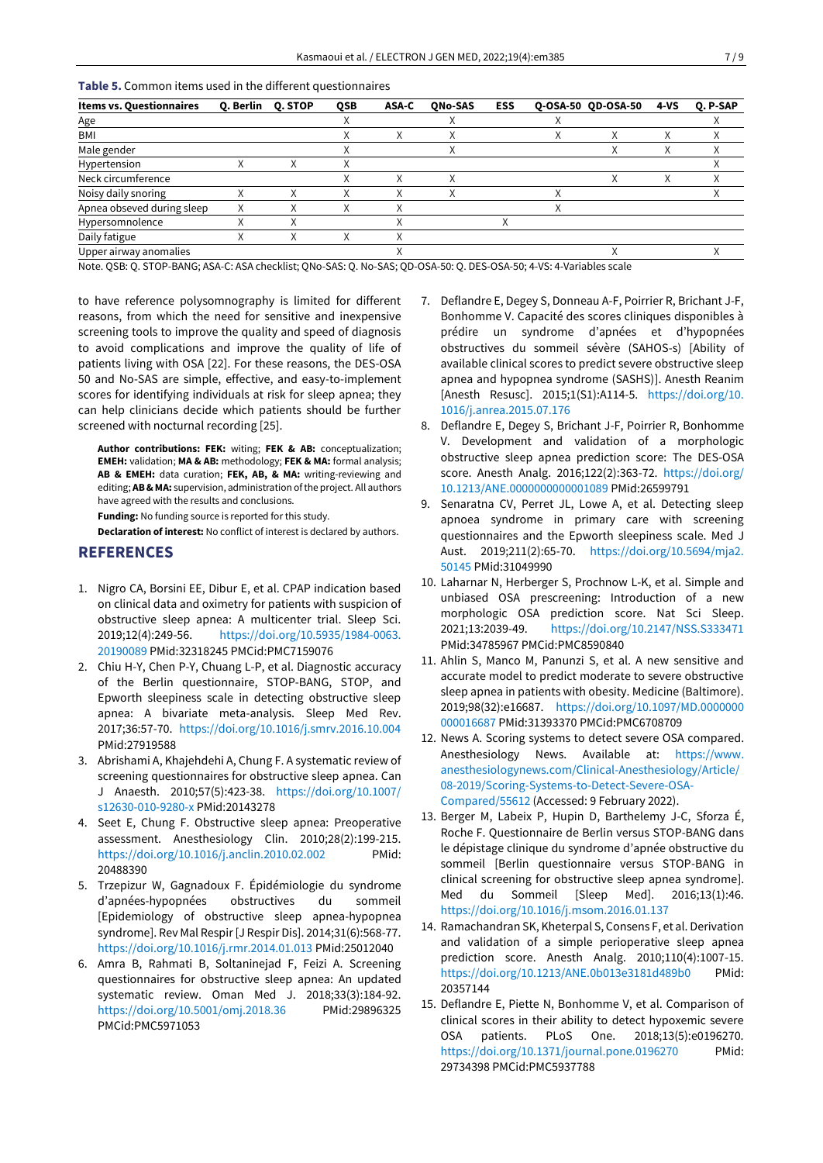## **Table 5.** Common items used in the different questionnaires

| <b>Items vs. Questionnaires</b> | Q. Berlin | Q. STOP | QSB | ASA-C | <b>QNo-SAS</b> | <b>ESS</b> | Q-OSA-50 QD-OSA-50 | $4-YS$ | Q. P-SAP |
|---------------------------------|-----------|---------|-----|-------|----------------|------------|--------------------|--------|----------|
| Age                             |           |         |     |       |                |            |                    |        |          |
| BMI                             |           |         |     |       |                |            |                    |        |          |
| Male gender                     |           |         |     |       |                |            |                    |        |          |
| Hypertension                    |           |         |     |       |                |            |                    |        |          |
| Neck circumference              |           |         |     |       |                |            |                    |        |          |
| Noisy daily snoring             |           |         |     |       |                |            |                    |        |          |
| Apnea obseved during sleep      | Χ         | Χ       |     |       |                |            |                    |        |          |
| Hypersomnolence                 | ∧         | ∧       |     |       |                |            |                    |        |          |
| Daily fatigue                   |           |         |     |       |                |            |                    |        |          |
| Upper airway anomalies          |           |         |     |       |                |            |                    |        |          |

Note. QSB: Q. STOP-BANG; ASA-C: ASA checklist; QNo-SAS: Q. No-SAS; QD-OSA-50: Q. DES-OSA-50; 4-VS: 4-Variables scale

to have reference polysomnography is limited for different reasons, from which the need for sensitive and inexpensive screening tools to improve the quality and speed of diagnosis to avoid complications and improve the quality of life of patients living with OSA [22]. For these reasons, the DES-OSA 50 and No-SAS are simple, effective, and easy-to-implement scores for identifying individuals at risk for sleep apnea; they can help clinicians decide which patients should be further screened with nocturnal recording [25].

**Author contributions: FEK:** witing; **FEK & AB:** conceptualization; **EMEH:** validation; **MA & AB:** methodology; **FEK & MA:** formal analysis; **AB & EMEH:** data curation; **FEK, AB, & MA:** writing-reviewing and editing; **AB & MA:** supervision, administration of the project. All authors have agreed with the results and conclusions.

**Funding:** No funding source is reported for this study.

**Declaration of interest:** No conflict of interest is declared by authors.

# **REFERENCES**

- 1. Nigro CA, Borsini EE, Dibur E, et al. CPAP indication based on clinical data and oximetry for patients with suspicion of obstructive sleep apnea: A multicenter trial. Sleep Sci. 2019;12(4):249-56. [https://doi.org/10.5935/1984-0063.](https://doi.org/10.5935/1984-0063.20190089) [20190089](https://doi.org/10.5935/1984-0063.20190089) PMid:32318245 PMCid:PMC7159076
- 2. Chiu H-Y, Chen P-Y, Chuang L-P, et al. Diagnostic accuracy of the Berlin questionnaire, STOP-BANG, STOP, and Epworth sleepiness scale in detecting obstructive sleep apnea: A bivariate meta-analysis. Sleep Med Rev. 2017;36:57-70. <https://doi.org/10.1016/j.smrv.2016.10.004> PMid:27919588
- 3. Abrishami A, Khajehdehi A, Chung F. A systematic review of screening questionnaires for obstructive sleep apnea. Can J Anaesth. 2010;57(5):423-38. [https://doi.org/10.1007/](https://doi.org/10.1007/s12630-010-9280-x) [s12630-010-9280-x](https://doi.org/10.1007/s12630-010-9280-x) PMid:20143278
- 4. Seet E, Chung F. Obstructive sleep apnea: Preoperative assessment. Anesthesiology Clin. 2010;28(2):199-215. <https://doi.org/10.1016/j.anclin.2010.02.002> PMid: 20488390
- 5. Trzepizur W, Gagnadoux F. Épidémiologie du syndrome d'apnées-hypopnées obstructives du sommeil [Epidemiology of obstructive sleep apnea-hypopnea syndrome]. Rev Mal Respir [J Respir Dis]. 2014;31(6):568-77. <https://doi.org/10.1016/j.rmr.2014.01.013> PMid:25012040
- 6. Amra B, Rahmati B, Soltaninejad F, Feizi A. Screening questionnaires for obstructive sleep apnea: An updated systematic review. Oman Med J. 2018;33(3):184-92. <https://doi.org/10.5001/omj.2018.36> PMid:29896325 PMCid:PMC5971053
- 7. Deflandre E, Degey S, Donneau A-F, Poirrier R, Brichant J-F, Bonhomme V. Capacité des scores cliniques disponibles à prédire un syndrome d'apnées et d'hypopnées obstructives du sommeil sévère (SAHOS-s) [Ability of available clinical scores to predict severe obstructive sleep apnea and hypopnea syndrome (SASHS)]. Anesth Reanim [Anesth Resusc]. 2015;1(S1):A114-5. [https://doi.org/10.](https://doi.org/10.1016/j.anrea.2015.07.176) [1016/j.anrea.2015.07.176](https://doi.org/10.1016/j.anrea.2015.07.176)
- 8. Deflandre E, Degey S, Brichant J-F, Poirrier R, Bonhomme V. Development and validation of a morphologic obstructive sleep apnea prediction score: The DES-OSA score. Anesth Analg. 2016;122(2):363-72. [https://doi.org/](https://doi.org/10.1213/ANE.0000000000001089) [10.1213/ANE.0000000000001089](https://doi.org/10.1213/ANE.0000000000001089) PMid:26599791
- 9. Senaratna CV, Perret JL, Lowe A, et al. Detecting sleep apnoea syndrome in primary care with screening questionnaires and the Epworth sleepiness scale. Med J Aust. 2019;211(2):65-70. [https://doi.org/10.5694/mja2.](https://doi.org/10.5694/mja2.50145) [50145](https://doi.org/10.5694/mja2.50145) PMid:31049990
- 10. Laharnar N, Herberger S, Prochnow L-K, et al. Simple and unbiased OSA prescreening: Introduction of a new morphologic OSA prediction score. Nat Sci Sleep. 2021;13:2039-49. <https://doi.org/10.2147/NSS.S333471> PMid:34785967 PMCid:PMC8590840
- 11. Ahlin S, Manco M, Panunzi S, et al. A new sensitive and accurate model to predict moderate to severe obstructive sleep apnea in patients with obesity. Medicine (Baltimore). 2019;98(32):e16687. [https://doi.org/10.1097/MD.0000000](https://doi.org/10.1097/MD.0000000000016687) [000016687](https://doi.org/10.1097/MD.0000000000016687) PMid:31393370 PMCid:PMC6708709
- 12. News A. Scoring systems to detect severe OSA compared. Anesthesiology News. Available at: [https://www.](https://www.anesthesiologynews.com/Clinical-Anesthesiology/Article/08-2019/Scoring-Systems-to-Detect-Severe-OSA-Compared/55612) [anesthesiologynews.com/Clinical-Anesthesiology/Article/](https://www.anesthesiologynews.com/Clinical-Anesthesiology/Article/08-2019/Scoring-Systems-to-Detect-Severe-OSA-Compared/55612) [08-2019/Scoring-Systems-to-Detect-Severe-OSA-](https://www.anesthesiologynews.com/Clinical-Anesthesiology/Article/08-2019/Scoring-Systems-to-Detect-Severe-OSA-Compared/55612)[Compared/55612](https://www.anesthesiologynews.com/Clinical-Anesthesiology/Article/08-2019/Scoring-Systems-to-Detect-Severe-OSA-Compared/55612) (Accessed: 9 February 2022).
- 13. Berger M, Labeix P, Hupin D, Barthelemy J-C, Sforza É, Roche F. Questionnaire de Berlin versus STOP-BANG dans le dépistage clinique du syndrome d'apnée obstructive du sommeil [Berlin questionnaire versus STOP-BANG in clinical screening for obstructive sleep apnea syndrome]. Med du Sommeil [Sleep Med]. 2016;13(1):46. <https://doi.org/10.1016/j.msom.2016.01.137>
- 14. Ramachandran SK, Kheterpal S, Consens F, et al. Derivation and validation of a simple perioperative sleep apnea prediction score. Anesth Analg. 2010;110(4):1007-15. <https://doi.org/10.1213/ANE.0b013e3181d489b0> PMid: 20357144
- 15. Deflandre E, Piette N, Bonhomme V, et al. Comparison of clinical scores in their ability to detect hypoxemic severe OSA patients. PLoS One. 2018;13(5):e0196270. <https://doi.org/10.1371/journal.pone.0196270> PMid: 29734398 PMCid:PMC5937788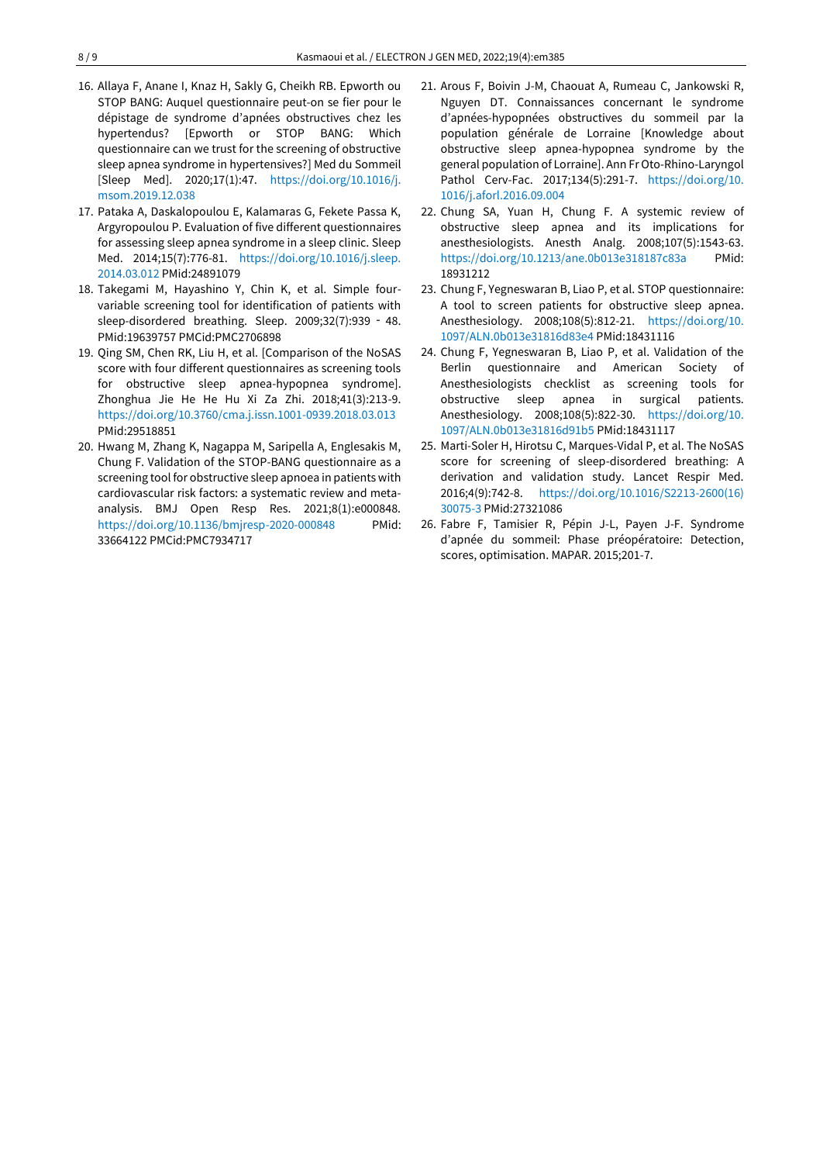- 16. Allaya F, Anane I, Knaz H, Sakly G, Cheikh RB. Epworth ou STOP BANG: Auquel questionnaire peut-on se fier pour le dépistage de syndrome d'apnées obstructives chez les hypertendus? [Epworth or STOP BANG: Which questionnaire can we trust for the screening of obstructive sleep apnea syndrome in hypertensives?] Med du Sommeil [Sleep Med]. 2020;17(1):47. [https://doi.org/10.1016/j.](https://doi.org/10.1016/j.msom.2019.12.038) [msom.2019.12.038](https://doi.org/10.1016/j.msom.2019.12.038)
- 17. Pataka A, Daskalopoulou E, Kalamaras G, Fekete Passa K, Argyropoulou P. Evaluation of five different questionnaires for assessing sleep apnea syndrome in a sleep clinic. Sleep Med. 2014;15(7):776-81. [https://doi.org/10.1016/j.sleep.](https://doi.org/10.1016/j.sleep.2014.03.012) [2014.03.012](https://doi.org/10.1016/j.sleep.2014.03.012) PMid:24891079
- 18. Takegami M, Hayashino Y, Chin K, et al. Simple fourvariable screening tool for identification of patients with sleep-disordered breathing. Sleep. 2009;32(7):939 ‑ 48. PMid:19639757 PMCid:PMC2706898
- 19. Qing SM, Chen RK, Liu H, et al. [Comparison of the NoSAS score with four different questionnaires as screening tools for obstructive sleep apnea-hypopnea syndrome]. Zhonghua Jie He He Hu Xi Za Zhi. 2018;41(3):213-9. <https://doi.org/10.3760/cma.j.issn.1001-0939.2018.03.013> PMid:29518851
- 20. Hwang M, Zhang K, Nagappa M, Saripella A, Englesakis M, Chung F. Validation of the STOP-BANG questionnaire as a screening tool for obstructive sleep apnoea in patients with cardiovascular risk factors: a systematic review and metaanalysis. BMJ Open Resp Res. 2021;8(1):e000848. <https://doi.org/10.1136/bmjresp-2020-000848> PMid: 33664122 PMCid:PMC7934717
- 21. Arous F, Boivin J-M, Chaouat A, Rumeau C, Jankowski R, Nguyen DT. Connaissances concernant le syndrome d'apnées-hypopnées obstructives du sommeil par la population générale de Lorraine [Knowledge about obstructive sleep apnea-hypopnea syndrome by the general population of Lorraine]. Ann Fr Oto-Rhino-Laryngol Pathol Cerv-Fac. 2017;134(5):291-7. [https://doi.org/10.](https://doi.org/10.1016/j.aforl.2016.09.004) [1016/j.aforl.2016.09.004](https://doi.org/10.1016/j.aforl.2016.09.004)
- 22. Chung SA, Yuan H, Chung F. A systemic review of obstructive sleep apnea and its implications for anesthesiologists. Anesth Analg. 2008;107(5):1543-63. <https://doi.org/10.1213/ane.0b013e318187c83a> PMid: 18931212
- 23. Chung F, Yegneswaran B, Liao P, et al. STOP questionnaire: A tool to screen patients for obstructive sleep apnea. Anesthesiology. 2008;108(5):812-21. [https://doi.org/10.](https://doi.org/10.1097/ALN.0b013e31816d83e4) [1097/ALN.0b013e31816d83e4](https://doi.org/10.1097/ALN.0b013e31816d83e4) PMid:18431116
- 24. Chung F, Yegneswaran B, Liao P, et al. Validation of the Berlin questionnaire and American Society of Anesthesiologists checklist as screening tools for obstructive sleep apnea in surgical patients. Anesthesiology. 2008;108(5):822-30. [https://doi.org/10.](https://doi.org/10.1097/ALN.0b013e31816d91b5) [1097/ALN.0b013e31816d91b5](https://doi.org/10.1097/ALN.0b013e31816d91b5) PMid:18431117
- 25. Marti-Soler H, Hirotsu C, Marques-Vidal P, et al. The NoSAS score for screening of sleep-disordered breathing: A derivation and validation study. Lancet Respir Med. 2016;4(9):742-8. [https://doi.org/10.1016/S2213-2600\(16\)](https://doi.org/10.1016/S2213-2600(16)30075-3) [30075-3](https://doi.org/10.1016/S2213-2600(16)30075-3) PMid:27321086
- 26. Fabre F, Tamisier R, Pépin J-L, Payen J-F. Syndrome d'apnée du sommeil: Phase préopératoire: Detection, scores, optimisation. MAPAR. 2015;201-7.